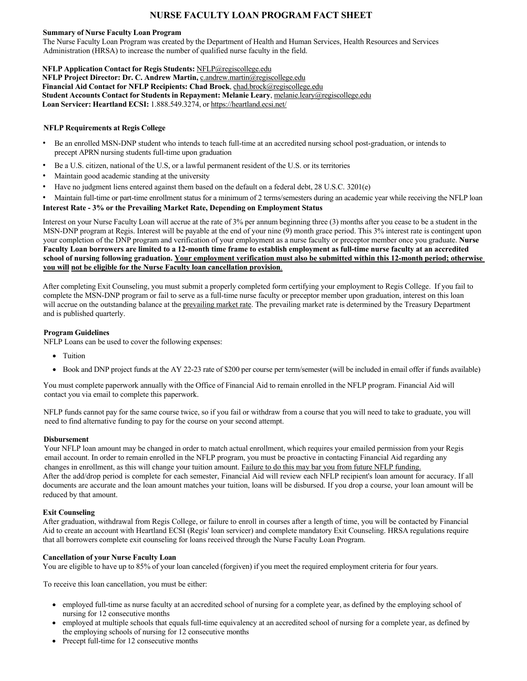# **NURSE FACULTY LOAN PROGRAM FACT SHEET**

#### **Summary of Nurse Faculty Loan Program**

 The Nurse Faculty Loan Program was created by the Department of Health and Human Services, Health Resources and Services Administration (HRSA) to increase the number of qualified nurse faculty in the field.

# **NFLP Application Contact for Regis Students:** [NFLP@regiscollege.edu](mailto:NFLP@regiscollege.edu)

 **NFLP Project Director: Dr. C. Andrew Martin,** [c.andrew.martin@regiscollege.edu](mailto:c.andrew.martin@regiscollege.edu)   **Financial Aid Contact for NFLP Recipients: Chad Brock**, [chad.brock@regiscollege.edu](mailto:chad.brock@regiscollege.edu) **Student Accounts Contact for Students in Repayment: Melanie Leary**, [melanie.leary@regiscollege.edu](mailto:melanie.leary@regiscollege.edu)  **Loan Servicer: Heartland ECSI:** 1.888.549.3274, or [https://heartland.ecsi.net/](https://heartland.ecsi.net)

## **NFLP Requirements at Regis College**

- • Be an enrolled MSN-DNP student who intends to teach full-time at an accredited nursing school post-graduation, or intends to precept APRN nursing students full-time upon graduation
- Be a U.S. citizen, national of the U.S, or a lawful permanent resident of the U.S. or its territories
- Maintain good academic standing at the university
- Have no judgment liens entered against them based on the default on a federal debt, 28 U.S.C. 3201(e)

 • Maintain full-time or part-time enrollment status for a minimum of 2 terms/semesters during an academic year while receiving the NFLP loan  **Interest Rate - 3% or the Prevailing Market Rate, Depending on Employment Status** 

 Interest on your Nurse Faculty Loan will accrue at the rate of 3% per annum beginning three (3) months after you cease to be a student in the MSN-DNP program at Regis. Interest will be payable at the end of your nine (9) month grace period. This 3% interest rate is contingent upon your completion of the DNP program and verification of your employment as a nurse faculty or preceptor member once you graduate. **Nurse Faculty Loan borrowers are limited to a 12-month time frame to establish employment as full-time nurse faculty at an accredited school of nursing following graduation. Your employment verification must also be submitted within this 12-month period; otherwise you will not be eligible for the Nurse Faculty loan cancellation provision**.

 After completing Exit Counseling, you must submit a properly completed form certifying your employment to Regis College. If you fail to complete the MSN-DNP program or fail to serve as a full-time nurse faculty or preceptor member upon graduation, interest on this loan will accrue on the outstanding balance at the prevailing market rate. The prevailing market rate is determined by the Treasury Department and is published quarterly.

# **Program Guidelines**

NFLP Loans can be used to cover the following expenses:

- Tuition
- Book and DNP project funds at the AY 22-23 rate of \$200 per course per term/semester (will be included in email offer if funds available)

 You must complete paperwork annually with the Office of Financial Aid to remain enrolled in the NFLP program. Financial Aid will contact you via email to complete this paperwork.

 NFLP funds cannot pay for the same course twice, so if you fail or withdraw from a course that you will need to take to graduate, you will need to find alternative funding to pay for the course on your second attempt.

## **Disbursement**

 Your NFLP loan amount may be changed in order to match actual enrollment, which requires your emailed permission from your Regis email account. In order to remain enrolled in the NFLP program, you must be proactive in contacting Financial Aid regarding any changes in enrollment, as this will change your tuition amount. Failure to do this may bar you from future NFLP funding. After the add/drop period is complete for each semester, Financial Aid will review each NFLP recipient's loan amount for accuracy. If all documents are accurate and the loan amount matches your tuition, loans will be disbursed. If you drop a course, your loan amount will be reduced by that amount.

## **Exit Counseling**

 After graduation, withdrawal from Regis College, or failure to enroll in courses after a length of time, you will be contacted by Financial Aid to create an account with Heartland ECSI (Regis' loan servicer) and complete mandatory Exit Counseling. HRSA regulations require that all borrowers complete exit counseling for loans received through the Nurse Faculty Loan Program.

## **Cancellation of your Nurse Faculty Loan**

You are eligible to have up to 85% of your loan canceled (forgiven) if you meet the required employment criteria for four years.

To receive this loan cancellation, you must be either:

- • employed full-time as nurse faculty at an accredited school of nursing for a complete year, as defined by the employing school of nursing for 12 consecutive months
- • employed at multiple schools that equals full-time equivalency at an accredited school of nursing for a complete year, as defined by the employing schools of nursing for 12 consecutive months
- Precept full-time for 12 consecutive months